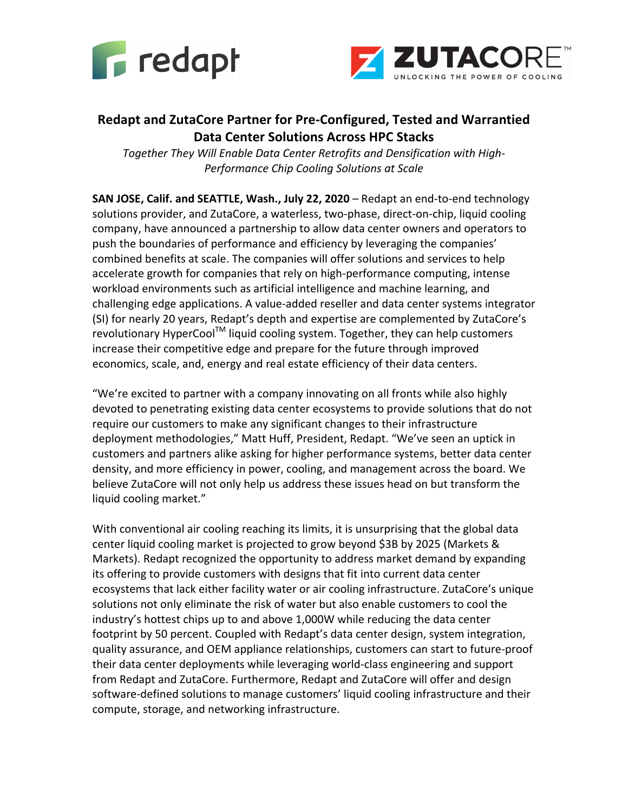



## **Redapt and ZutaCore Partner for Pre-Configured, Tested and Warrantied Data Center Solutions Across HPC Stacks**

*Together They Will Enable Data Center Retrofits and Densification with High-Performance Chip Cooling Solutions at Scale*

**SAN JOSE, Calif. and SEATTLE, Wash., July 22, 2020** – Redapt an end-to-end technology solutions provider, and ZutaCore, a waterless, two-phase, direct-on-chip, liquid cooling company, have announced a partnership to allow data center owners and operators to push the boundaries of performance and efficiency by leveraging the companies' combined benefits at scale. The companies will offer solutions and services to help accelerate growth for companies that rely on high-performance computing, intense workload environments such as artificial intelligence and machine learning, and challenging edge applications. A value-added reseller and data center systems integrator (SI) for nearly 20 years, Redapt's depth and expertise are complemented by ZutaCore's revolutionary HyperCool<sup>TM</sup> liquid cooling system. Together, they can help customers increase their competitive edge and prepare for the future through improved economics, scale, and, energy and real estate efficiency of their data centers.

"We're excited to partner with a company innovating on all fronts while also highly devoted to penetrating existing data center ecosystems to provide solutions that do not require our customers to make any significant changes to their infrastructure deployment methodologies," Matt Huff, President, Redapt. "We've seen an uptick in customers and partners alike asking for higher performance systems, better data center density, and more efficiency in power, cooling, and management across the board. We believe ZutaCore will not only help us address these issues head on but transform the liquid cooling market."

With conventional air cooling reaching its limits, it is unsurprising that the global data center liquid cooling market is projected to grow beyond \$3B by 2025 (Markets & Markets). Redapt recognized the opportunity to address market demand by expanding its offering to provide customers with designs that fit into current data center ecosystems that lack either facility water or air cooling infrastructure. ZutaCore's unique solutions not only eliminate the risk of water but also enable customers to cool the industry's hottest chips up to and above 1,000W while reducing the data center footprint by 50 percent. Coupled with Redapt's data center design, system integration, quality assurance, and OEM appliance relationships, customers can start to future-proof their data center deployments while leveraging world-class engineering and support from Redapt and ZutaCore. Furthermore, Redapt and ZutaCore will offer and design software-defined solutions to manage customers' liquid cooling infrastructure and their compute, storage, and networking infrastructure.